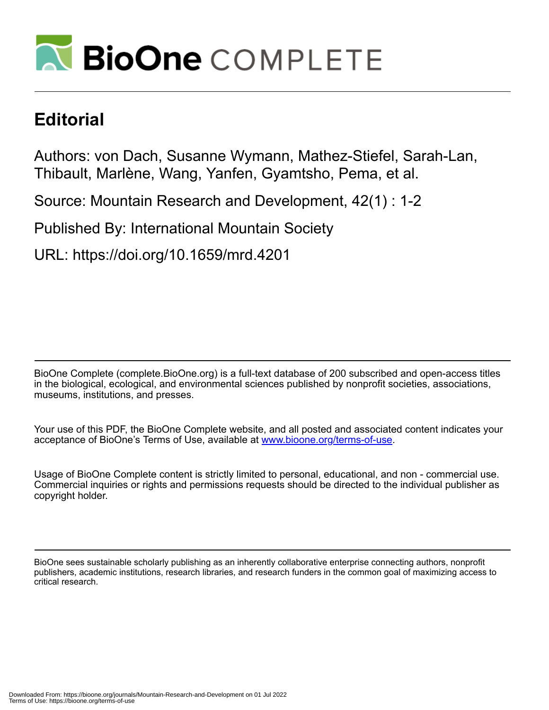

## **Editorial**

Authors: von Dach, Susanne Wymann, Mathez-Stiefel, Sarah-Lan, Thibault, Marlène, Wang, Yanfen, Gyamtsho, Pema, et al.

Source: Mountain Research and Development, 42(1) : 1-2

Published By: International Mountain Society

URL: https://doi.org/10.1659/mrd.4201

BioOne Complete (complete.BioOne.org) is a full-text database of 200 subscribed and open-access titles in the biological, ecological, and environmental sciences published by nonprofit societies, associations, museums, institutions, and presses.

Your use of this PDF, the BioOne Complete website, and all posted and associated content indicates your acceptance of BioOne's Terms of Use, available at www.bioone.org/terms-of-use.

Usage of BioOne Complete content is strictly limited to personal, educational, and non - commercial use. Commercial inquiries or rights and permissions requests should be directed to the individual publisher as copyright holder.

BioOne sees sustainable scholarly publishing as an inherently collaborative enterprise connecting authors, nonprofit publishers, academic institutions, research libraries, and research funders in the common goal of maximizing access to critical research.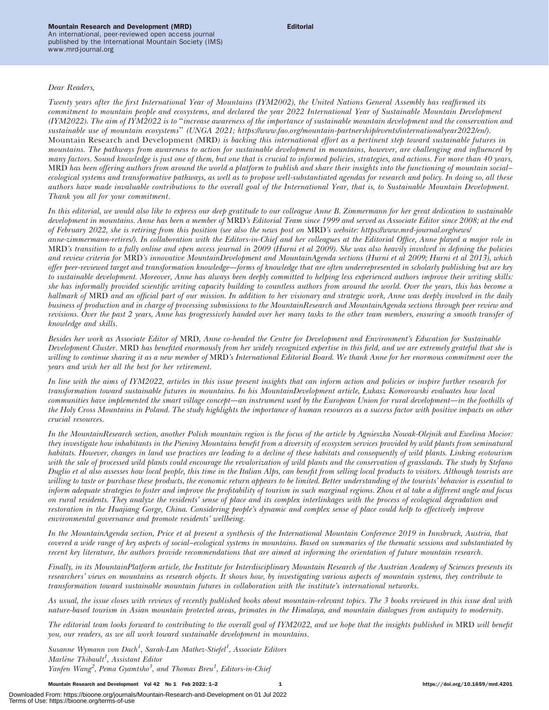## Mountain Research and Development (MRD)

An international, peer-reviewed open access journal published by the International Mountain Society (IMS) www.mrd-journal.org

## Dear Readers,

Twenty years after the first International Year of Mountains (IYM2002), the United Nations General Assembly has reaffirmed its commitment to mountain people and ecosystems, and declared the year 2022 International Year of Sustainable Mountain Development (IYM2022). The aim of IYM2022 is to ''increase awareness of the importance of sustainable mountain development and the conservation and sustainable use of mountain ecosystems'' (UNGA 2021; [https://www.fao.org/mountain-partnership/events/internationalyear2022/en/\)](https://www.fao.org/mountain-partnership/events/internationalyear2022/en/). Mountain Research and Development (MRD) is backing this international effort as a pertinent step toward sustainable futures in mountains. The pathways from awareness to action for sustainable development in mountains, however, are challenging and influenced by many factors. Sound knowledge is just one of them, but one that is crucial to informed policies, strategies, and actions. For more than 40 years, MRD has been offering authors from around the world a platform to publish and share their insights into the functioning of mountain social– ecological systems and transformative pathways, as well as to propose well-substantiated agendas for research and policy. In doing so, all these authors have made invaluable contributions to the overall goal of the International Year, that is, to Sustainable Mountain Development. Thank you all for your commitment.

In this editorial, we would also like to express our deep gratitude to our colleague Anne B. Zimmermann for her great dedication to sustainable development in mountains. Anne has been a member of MRD's Editorial Team since 1999 and served as Associate Editor since 2008; at the end of February 2022, she is retiring from this position (see also the news post on MRD's website: [https://www.mrd-journal.org/news/](https://www.mrd-journal.org/news/anne-zimmermann-retires/) [anne-zimmermann-retires/\)](https://www.mrd-journal.org/news/anne-zimmermann-retires/). In collaboration with the Editors-in-Chief and her colleagues at the Editorial Office, Anne played a major role in MRD's transition to a fully online and open access journal in 2009 (Hurni et al 2009). She was also heavily involved in defining the policies and review criteria for MRD's innovative MountainDevelopment and MountainAgenda sections (Hurni et al 2009; Hurni et al 2013), which offer peer-reviewed target and transformation knowledge—forms of knowledge that are often underrepresented in scholarly publishing but are key to sustainable development. Moreover, Anne has always been deeply committed to helping less experienced authors improve their writing skills: she has informally provided scientific writing capacity building to countless authors from around the world. Over the years, this has become a hallmark of MRD and an official part of our mission. In addition to her visionary and strategic work, Anne was deeply involved in the daily business of production and in charge of processing submissions to the MountainResearch and MountainAgenda sections through peer review and revisions. Over the past 2 years, Anne has progressively handed over her many tasks to the other team members, ensuring a smooth transfer of knowledge and skills.

Besides her work as Associate Editor of MRD, Anne co-headed the Centre for Development and Environment's Education for Sustainable Development Cluster. MRD has benefited enormously from her widely recognized expertise in this field, and we are extremely grateful that she is willing to continue sharing it as a new member of MRD's International Editorial Board. We thank Anne for her enormous commitment over the years and wish her all the best for her retirement.

In line with the aims of IYM2022, articles in this issue present insights that can inform action and policies or inspire further research for transformation toward sustainable futures in mountains. In his MountainDevelopment article, Łukasz Komorowski evaluates how local communities have implemented the smart village concept—an instrument used by the European Union for rural development—in the foothills of the Holy Cross Mountains in Poland. The study highlights the importance of human resources as a success factor with positive impacts on other crucial resources.

In the MountainResearch section, another Polish mountain region is the focus of the article by Agnieszka Nowak-Olejnik and Ewelina Mocior: they investigate how inhabitants in the Pieniny Mountains benefit from a diversity of ecosystem services provided by wild plants from seminatural habitats. However, changes in land use practices are leading to a decline of these habitats and consequently of wild plants. Linking ecotourism with the sale of processed wild plants could encourage the revalorization of wild plants and the conservation of grasslands. The study by Stefano Duglio et al also assesses how local people, this time in the Italian Alps, can benefit from selling local products to visitors. Although tourists are willing to taste or purchase these products, the economic return appears to be limited. Better understanding of the tourists' behavior is essential to inform adequate strategies to foster and improve the profitability of tourism in such marginal regions. Zhou et al take a different angle and focus on rural residents. They analyze the residents' sense of place and its complex interlinkages with the process of ecological degradation and restoration in the Huajiang Gorge, China. Considering people's dynamic and complex sense of place could help to effectively improve environmental governance and promote residents' wellbeing.

In the MountainAgenda section, Price et al present a synthesis of the International Mountain Conference 2019 in Innsbruck, Austria, that covered a wide range of key aspects of social–ecological systems in mountains. Based on summaries of the thematic sessions and substantiated by recent key literature, the authors provide recommendations that are aimed at informing the orientation of future mountain research.

Finally, in its MountainPlatform article, the Institute for Interdisciplinary Mountain Research of the Austrian Academy of Sciences presents its researchers' views on mountains as research objects. It shows how, by investigating various aspects of mountain systems, they contribute to transformation toward sustainable mountain futures in collaboration with the institute's international networks.

As usual, the issue closes with reviews of recently published books about mountain-relevant topics. The 3 books reviewed in this issue deal with nature-based tourism in Asian mountain protected areas, primates in the Himalaya, and mountain dialogues from antiquity to modernity.

The editorial team looks forward to contributing to the overall goal of IYM2022, and we hope that the insights published in MRD will benefit you, our readers, as we all work toward sustainable development in mountains.

Susanne Wymann von Dach<sup>1</sup>, Sarah-Lan Mathez-Stiefel<sup>1</sup>, Associate Editors Marlène Thibault<sup>1</sup>, Assistant Editor Yanfen Wang<sup>2</sup>, Pema Gyamtsho<sup>3</sup>, and Thomas Breu<sup>1</sup>, Editors-in-Chief

Mountain Research and Development Vol 42 No 1 Feb 2022: 1–2 1 https://doi.org/10.1659/mrd.4201

Downloaded From: https://bioone.org/journals/Mountain-Research-and-Development on 01 Jul 2022 Terms of Use: https://bioone.org/terms-of-use